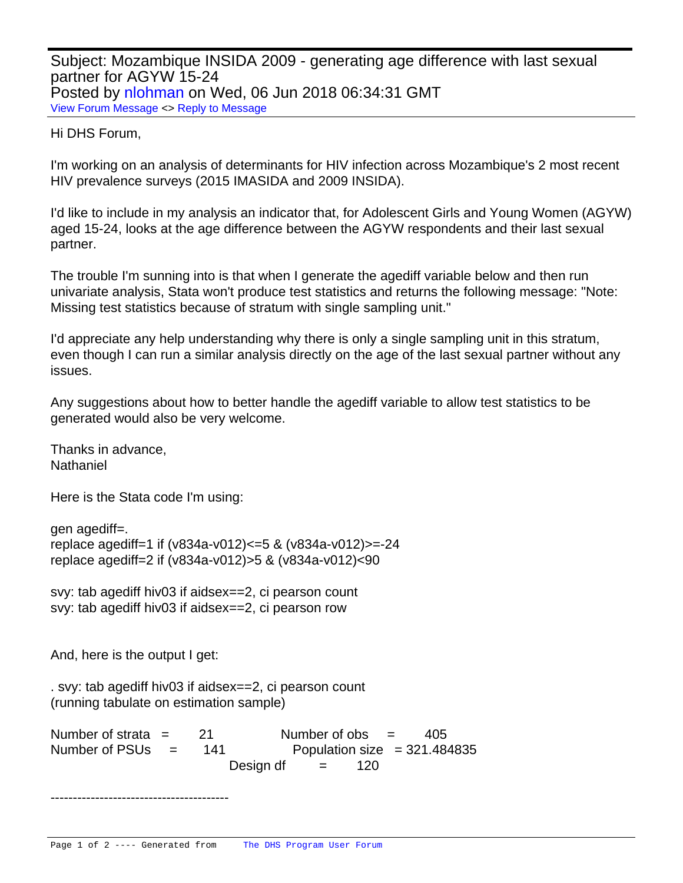Subject: Mozambique INSIDA 2009 - generating age difference with last sexual partner for AGYW 15-24 Posted by [nlohman](https://userforum.dhsprogram.com/index.php?t=usrinfo&id=5629) on Wed, 06 Jun 2018 06:34:31 GMT [View Forum Message](https://userforum.dhsprogram.com/index.php?t=rview&th=7094&goto=15119#msg_15119) <> [Reply to Message](https://userforum.dhsprogram.com/index.php?t=post&reply_to=15119)

## Hi DHS Forum,

I'm working on an analysis of determinants for HIV infection across Mozambique's 2 most recent HIV prevalence surveys (2015 IMASIDA and 2009 INSIDA).

I'd like to include in my analysis an indicator that, for Adolescent Girls and Young Women (AGYW) aged 15-24, looks at the age difference between the AGYW respondents and their last sexual partner.

The trouble I'm sunning into is that when I generate the agediff variable below and then run univariate analysis, Stata won't produce test statistics and returns the following message: "Note: Missing test statistics because of stratum with single sampling unit."

I'd appreciate any help understanding why there is only a single sampling unit in this stratum, even though I can run a similar analysis directly on the age of the last sexual partner without any issues.

Any suggestions about how to better handle the agediff variable to allow test statistics to be generated would also be very welcome.

Thanks in advance, Nathaniel

Here is the Stata code I'm using:

```
gen agediff=.
replace agediff=1 if (v834a-v012)<=5 & (v834a-v012)>=-24
replace agediff=2 if (v834a-v012)>5 & (v834a-v012)<90
```
svy: tab agediff hiv03 if aidsex==2, ci pearson count svy: tab agediff hiv03 if aidsex==2, ci pearson row

And, here is the output I get:

. svy: tab agediff hiv03 if aidsex==2, ci pearson count (running tabulate on estimation sample)

Number of strata  $=$  21 Number of obs  $=$  405 Number of PSUs  $=$  141 Population size  $=$  321.484835 Design df  $=$  120

----------------------------------------